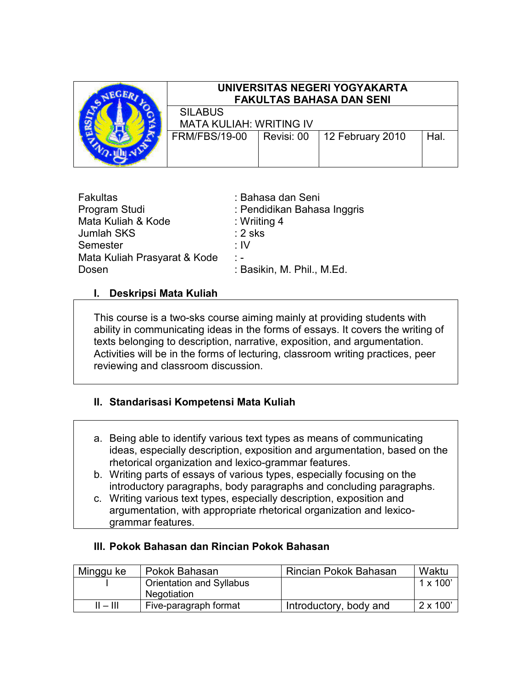

# UNIVERSITAS NEGERI YOGYAKARTA FAKULTAS BAHASA DAN SENI

SILABUS MATA KULIAH: WRITING IV FRM/FBS/19-00 | Revisi: 00 | 12 February 2010 | Hal.

| <b>Fakultas</b>              | : Bahasa dan Seni           |
|------------------------------|-----------------------------|
| Program Studi                | : Pendidikan Bahasa Inggris |
| Mata Kuliah & Kode           | : Wriiting $4$              |
| <b>Jumlah SKS</b>            | $: 2$ sks                   |
| Semester                     | ∶IV                         |
| Mata Kuliah Prasyarat & Kode | $\frac{1}{2}$               |
| Dosen                        | : Basikin, M. Phil., M.Ed.  |

# I. Deskripsi Mata Kuliah

This course is a two-sks course aiming mainly at providing students with ability in communicating ideas in the forms of essays. It covers the writing of texts belonging to description, narrative, exposition, and argumentation. Activities will be in the forms of lecturing, classroom writing practices, peer reviewing and classroom discussion.

# II. Standarisasi Kompetensi Mata Kuliah

- a. Being able to identify various text types as means of communicating ideas, especially description, exposition and argumentation, based on the rhetorical organization and lexico-grammar features.
- b. Writing parts of essays of various types, especially focusing on the introductory paragraphs, body paragraphs and concluding paragraphs.
- c. Writing various text types, especially description, exposition and argumentation, with appropriate rhetorical organization and lexicogrammar features.

#### III. Pokok Bahasan dan Rincian Pokok Bahasan

| Minggu ke  | Pokok Bahasan            | Rincian Pokok Bahasan  | Waktu           |
|------------|--------------------------|------------------------|-----------------|
|            | Orientation and Syllabus |                        | $1 \times 100$  |
|            | Negotiation              |                        |                 |
| $II = III$ | Five-paragraph format    | Introductory, body and | $2 \times 100'$ |